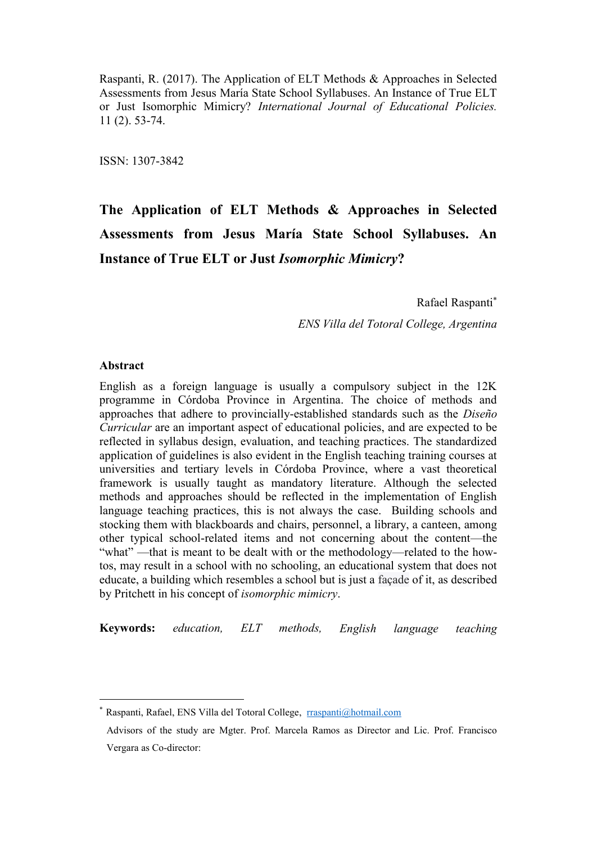Raspanti, R. (2017). The Application of ELT Methods & Approaches in Selected Assessments from Jesus María State School Syllabuses. An Instance of True ELT or Just Isomorphic Mimicry? *International Journal of Educational Policies.* 11 (2). 53-74.

ISSN: 1307-3842

# **The Application of ELT Methods & Approaches in Selected Assessments from Jesus María State School Syllabuses. An Instance of True ELT or Just** *Isomorphic Mimicry***?**

Rafael Raspanti

*ENS Villa del Totoral College, Argentina*

## **Abstract**

English as a foreign language is usually a compulsory subject in the 12K programme in Córdoba Province in Argentina. The choice of methods and approaches that adhere to provincially-established standards such as the *Diseño Curricular* are an important aspect of educational policies, and are expected to be reflected in syllabus design, evaluation, and teaching practices. The standardized application of guidelines is also evident in the English teaching training courses at universities and tertiary levels in Córdoba Province, where a vast theoretical framework is usually taught as mandatory literature. Although the selected methods and approaches should be reflected in the implementation of English language teaching practices, this is not always the case. Building schools and stocking them with blackboards and chairs, personnel, a library, a canteen, among other typical school-related items and not concerning about the content—the "what" —that is meant to be dealt with or the methodology—related to the howtos, may result in a school with no schooling, an educational system that does not educate, a building which resembles a school but is just a façade of it, as described by Pritchett in his concept of *isomorphic mimicry*.

**Keywords:** *education, ELT methods, English language teaching*

<sup>\*</sup> Raspanti, Rafael, ENS Villa del Totoral College, [rraspanti@hotmail.com](mailto:rraspanti@hotmail.com)

Advisors of the study are Mgter. Prof. Marcela Ramos as Director and Lic. Prof. Francisco Vergara as Co-director: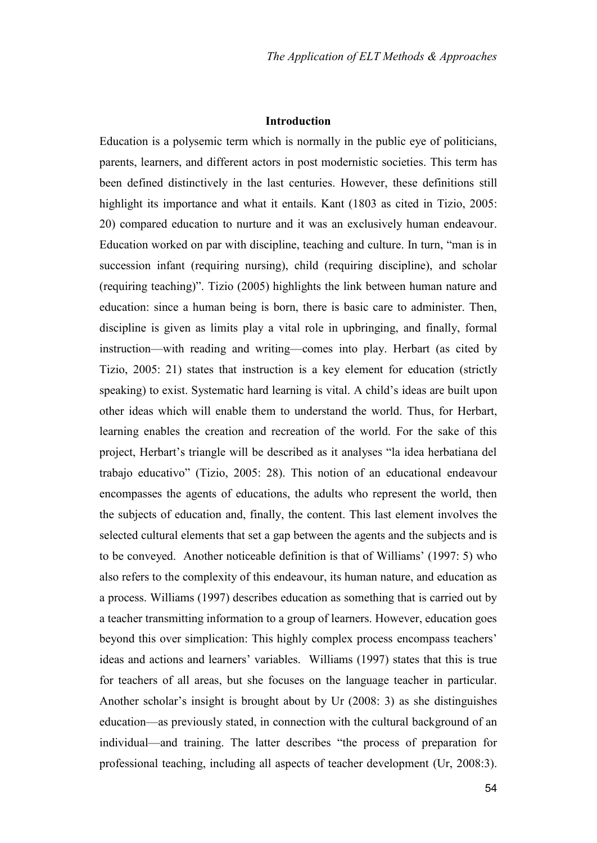#### **Introduction**

Education is a polysemic term which is normally in the public eye of politicians, parents, learners, and different actors in post modernistic societies. This term has been defined distinctively in the last centuries. However, these definitions still highlight its importance and what it entails. Kant (1803 as cited in Tizio, 2005: 20) compared education to nurture and it was an exclusively human endeavour. Education worked on par with discipline, teaching and culture. In turn, "man is in succession infant (requiring nursing), child (requiring discipline), and scholar (requiring teaching)". Tizio (2005) highlights the link between human nature and education: since a human being is born, there is basic care to administer. Then, discipline is given as limits play a vital role in upbringing, and finally, formal instruction—with reading and writing—comes into play. Herbart (as cited by Tizio, 2005: 21) states that instruction is a key element for education (strictly speaking) to exist. Systematic hard learning is vital. A child's ideas are built upon other ideas which will enable them to understand the world. Thus, for Herbart, learning enables the creation and recreation of the world. For the sake of this project, Herbart's triangle will be described as it analyses "la idea herbatiana del trabajo educativo" (Tizio, 2005: 28). This notion of an educational endeavour encompasses the agents of educations, the adults who represent the world, then the subjects of education and, finally, the content. This last element involves the selected cultural elements that set a gap between the agents and the subjects and is to be conveyed. Another noticeable definition is that of Williams' (1997: 5) who also refers to the complexity of this endeavour, its human nature, and education as a process. Williams (1997) describes education as something that is carried out by a teacher transmitting information to a group of learners. However, education goes beyond this over simplication: This highly complex process encompass teachers' ideas and actions and learners' variables. Williams (1997) states that this is true for teachers of all areas, but she focuses on the language teacher in particular. Another scholar's insight is brought about by Ur (2008: 3) as she distinguishes education—as previously stated, in connection with the cultural background of an individual—and training. The latter describes "the process of preparation for professional teaching, including all aspects of teacher development (Ur, 2008:3).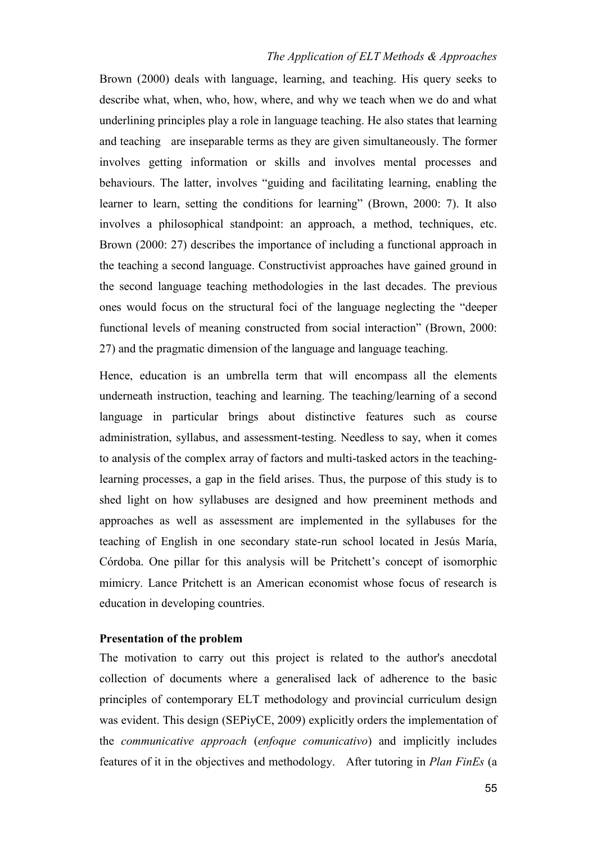Brown (2000) deals with language, learning, and teaching. His query seeks to describe what, when, who, how, where, and why we teach when we do and what underlining principles play a role in language teaching. He also states that learning and teaching are inseparable terms as they are given simultaneously. The former involves getting information or skills and involves mental processes and behaviours. The latter, involves "guiding and facilitating learning, enabling the learner to learn, setting the conditions for learning" (Brown, 2000: 7). It also involves a philosophical standpoint: an approach, a method, techniques, etc. Brown (2000: 27) describes the importance of including a functional approach in the teaching a second language. Constructivist approaches have gained ground in the second language teaching methodologies in the last decades. The previous ones would focus on the structural foci of the language neglecting the "deeper functional levels of meaning constructed from social interaction" (Brown, 2000: 27) and the pragmatic dimension of the language and language teaching.

Hence, education is an umbrella term that will encompass all the elements underneath instruction, teaching and learning. The teaching/learning of a second language in particular brings about distinctive features such as course administration, syllabus, and assessment-testing. Needless to say, when it comes to analysis of the complex array of factors and multi-tasked actors in the teachinglearning processes, a gap in the field arises. Thus, the purpose of this study is to shed light on how syllabuses are designed and how preeminent methods and approaches as well as assessment are implemented in the syllabuses for the teaching of English in one secondary state-run school located in Jesús María, Córdoba. One pillar for this analysis will be Pritchett's concept of isomorphic mimicry. Lance Pritchett is an American economist whose focus of research is education in developing countries.

#### **Presentation of the problem**

The motivation to carry out this project is related to the author's anecdotal collection of documents where a generalised lack of adherence to the basic principles of contemporary ELT methodology and provincial curriculum design was evident. This design (SEPiyCE, 2009) explicitly orders the implementation of the *communicative approach* (*enfoque comunicativo*) and implicitly includes features of it in the objectives and methodology. After tutoring in *Plan FinEs* (a

55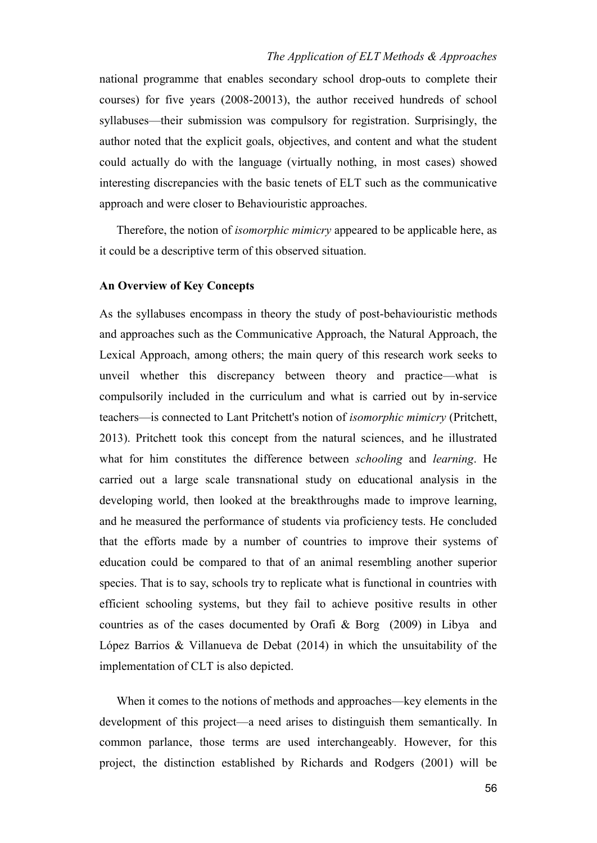national programme that enables secondary school drop-outs to complete their courses) for five years (2008-20013), the author received hundreds of school syllabuses—their submission was compulsory for registration. Surprisingly, the author noted that the explicit goals, objectives, and content and what the student could actually do with the language (virtually nothing, in most cases) showed interesting discrepancies with the basic tenets of ELT such as the communicative approach and were closer to Behaviouristic approaches.

Therefore, the notion of *isomorphic mimicry* appeared to be applicable here, as it could be a descriptive term of this observed situation.

## **An Overview of Key Concepts**

As the syllabuses encompass in theory the study of post-behaviouristic methods and approaches such as the Communicative Approach, the Natural Approach, the Lexical Approach, among others; the main query of this research work seeks to unveil whether this discrepancy between theory and practice—what is compulsorily included in the curriculum and what is carried out by in-service teachers—is connected to Lant Pritchett's notion of *isomorphic mimicry* (Pritchett, 2013). Pritchett took this concept from the natural sciences, and he illustrated what for him constitutes the difference between *schooling* and *learning*. He carried out a large scale transnational study on educational analysis in the developing world, then looked at the breakthroughs made to improve learning, and he measured the performance of students via proficiency tests. He concluded that the efforts made by a number of countries to improve their systems of education could be compared to that of an animal resembling another superior species. That is to say, schools try to replicate what is functional in countries with efficient schooling systems, but they fail to achieve positive results in other countries as of the cases documented by Orafi & Borg (2009) in Libya and López Barrios & Villanueva de Debat (2014) in which the unsuitability of the implementation of CLT is also depicted.

When it comes to the notions of methods and approaches—key elements in the development of this project—a need arises to distinguish them semantically. In common parlance, those terms are used interchangeably. However, for this project, the distinction established by Richards and Rodgers (2001) will be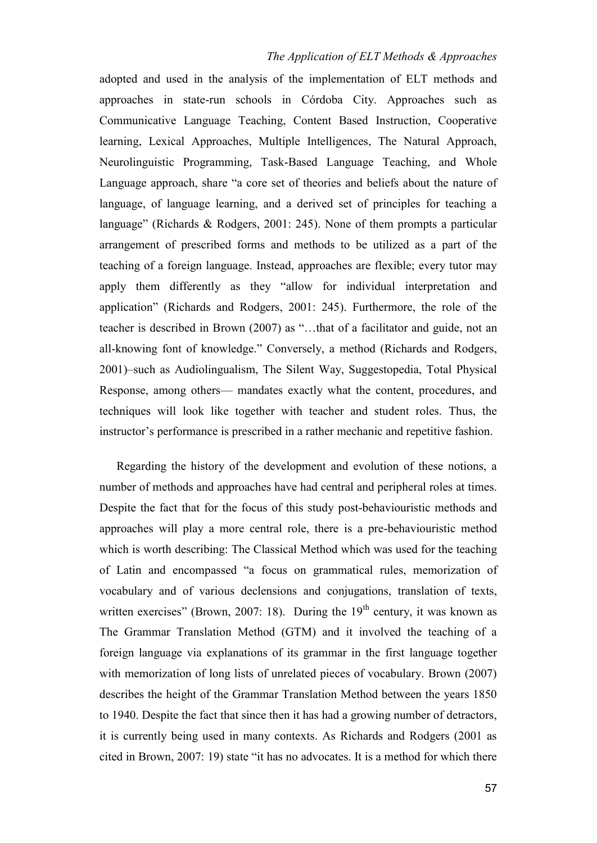adopted and used in the analysis of the implementation of ELT methods and approaches in state-run schools in Córdoba City. Approaches such as Communicative Language Teaching, Content Based Instruction, Cooperative learning, Lexical Approaches, Multiple Intelligences, The Natural Approach, Neurolinguistic Programming, Task-Based Language Teaching, and Whole Language approach, share "a core set of theories and beliefs about the nature of language, of language learning, and a derived set of principles for teaching a language" (Richards & Rodgers, 2001: 245). None of them prompts a particular arrangement of prescribed forms and methods to be utilized as a part of the teaching of a foreign language. Instead, approaches are flexible; every tutor may apply them differently as they "allow for individual interpretation and application" (Richards and Rodgers, 2001: 245). Furthermore, the role of the teacher is described in Brown (2007) as "…that of a facilitator and guide, not an all-knowing font of knowledge." Conversely, a method (Richards and Rodgers, 2001)–such as Audiolingualism, The Silent Way, Suggestopedia, Total Physical Response, among others— mandates exactly what the content, procedures, and techniques will look like together with teacher and student roles. Thus, the instructor's performance is prescribed in a rather mechanic and repetitive fashion.

Regarding the history of the development and evolution of these notions, a number of methods and approaches have had central and peripheral roles at times. Despite the fact that for the focus of this study post-behaviouristic methods and approaches will play a more central role, there is a pre-behaviouristic method which is worth describing: The Classical Method which was used for the teaching of Latin and encompassed "a focus on grammatical rules, memorization of vocabulary and of various declensions and conjugations, translation of texts, written exercises" (Brown, 2007: 18). During the  $19<sup>th</sup>$  century, it was known as The Grammar Translation Method (GTM) and it involved the teaching of a foreign language via explanations of its grammar in the first language together with memorization of long lists of unrelated pieces of vocabulary. Brown (2007) describes the height of the Grammar Translation Method between the years 1850 to 1940. Despite the fact that since then it has had a growing number of detractors, it is currently being used in many contexts. As Richards and Rodgers (2001 as cited in Brown, 2007: 19) state "it has no advocates. It is a method for which there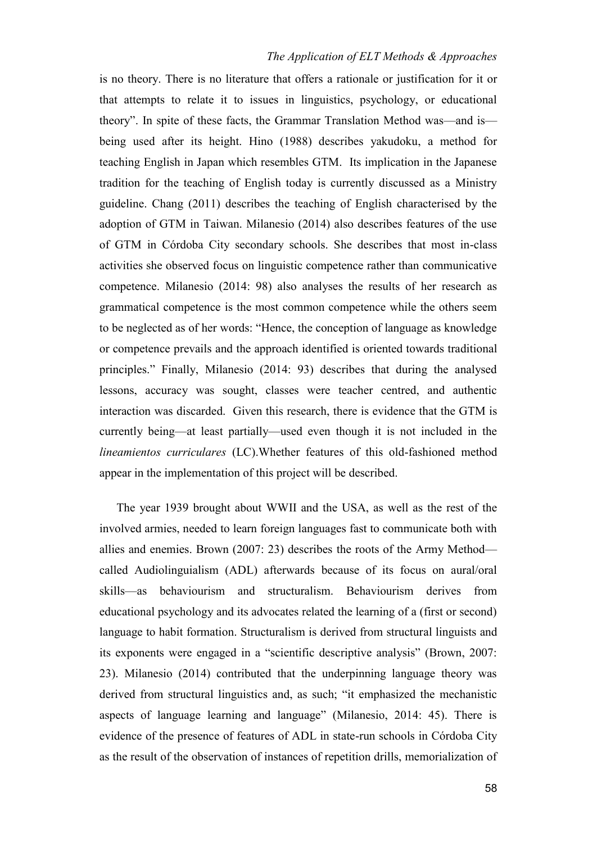is no theory. There is no literature that offers a rationale or justification for it or that attempts to relate it to issues in linguistics, psychology, or educational theory". In spite of these facts, the Grammar Translation Method was—and is being used after its height. Hino (1988) describes yakudoku, a method for teaching English in Japan which resembles GTM. Its implication in the Japanese tradition for the teaching of English today is currently discussed as a Ministry guideline. Chang (2011) describes the teaching of English characterised by the adoption of GTM in Taiwan. Milanesio (2014) also describes features of the use of GTM in Córdoba City secondary schools. She describes that most in-class activities she observed focus on linguistic competence rather than communicative competence. Milanesio (2014: 98) also analyses the results of her research as grammatical competence is the most common competence while the others seem to be neglected as of her words: "Hence, the conception of language as knowledge or competence prevails and the approach identified is oriented towards traditional principles." Finally, Milanesio (2014: 93) describes that during the analysed lessons, accuracy was sought, classes were teacher centred, and authentic interaction was discarded. Given this research, there is evidence that the GTM is currently being—at least partially—used even though it is not included in the *lineamientos curriculares* (LC).Whether features of this old-fashioned method appear in the implementation of this project will be described.

The year 1939 brought about WWII and the USA, as well as the rest of the involved armies, needed to learn foreign languages fast to communicate both with allies and enemies. Brown (2007: 23) describes the roots of the Army Method called Audiolinguialism (ADL) afterwards because of its focus on aural/oral skills—as behaviourism and structuralism. Behaviourism derives from educational psychology and its advocates related the learning of a (first or second) language to habit formation. Structuralism is derived from structural linguists and its exponents were engaged in a "scientific descriptive analysis" (Brown, 2007: 23). Milanesio (2014) contributed that the underpinning language theory was derived from structural linguistics and, as such; "it emphasized the mechanistic aspects of language learning and language" (Milanesio, 2014: 45). There is evidence of the presence of features of ADL in state-run schools in Córdoba City as the result of the observation of instances of repetition drills, memorialization of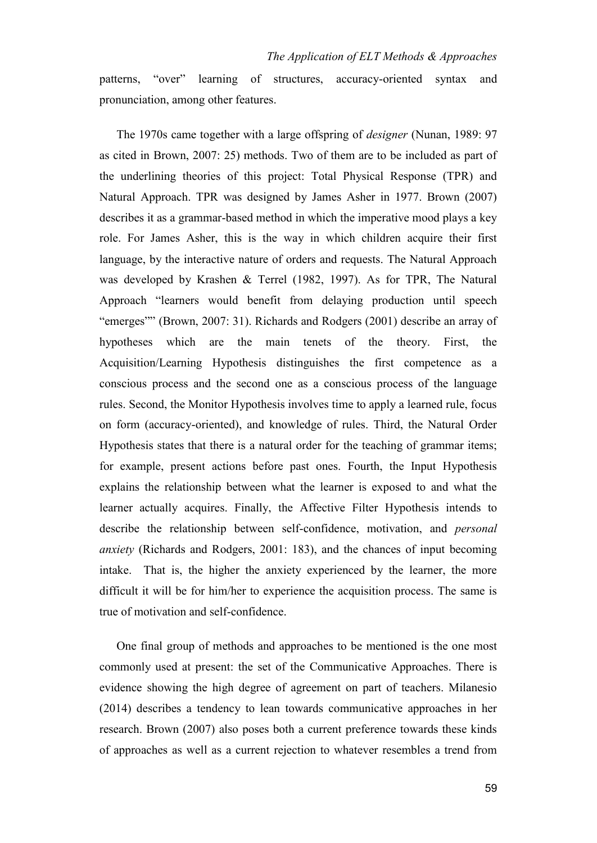patterns, "over" learning of structures, accuracy-oriented syntax and pronunciation, among other features.

The 1970s came together with a large offspring of *designer* (Nunan, 1989: 97 as cited in Brown, 2007: 25) methods. Two of them are to be included as part of the underlining theories of this project: Total Physical Response (TPR) and Natural Approach. TPR was designed by James Asher in 1977. Brown (2007) describes it as a grammar-based method in which the imperative mood plays a key role. For James Asher, this is the way in which children acquire their first language, by the interactive nature of orders and requests. The Natural Approach was developed by Krashen & Terrel (1982, 1997). As for TPR, The Natural Approach "learners would benefit from delaying production until speech "emerges"" (Brown, 2007: 31). Richards and Rodgers (2001) describe an array of hypotheses which are the main tenets of the theory. First, the Acquisition/Learning Hypothesis distinguishes the first competence as a conscious process and the second one as a conscious process of the language rules. Second, the Monitor Hypothesis involves time to apply a learned rule, focus on form (accuracy-oriented), and knowledge of rules. Third, the Natural Order Hypothesis states that there is a natural order for the teaching of grammar items; for example, present actions before past ones. Fourth, the Input Hypothesis explains the relationship between what the learner is exposed to and what the learner actually acquires. Finally, the Affective Filter Hypothesis intends to describe the relationship between self-confidence, motivation, and *personal anxiety* (Richards and Rodgers, 2001: 183), and the chances of input becoming intake. That is, the higher the anxiety experienced by the learner, the more difficult it will be for him/her to experience the acquisition process. The same is true of motivation and self-confidence.

One final group of methods and approaches to be mentioned is the one most commonly used at present: the set of the Communicative Approaches. There is evidence showing the high degree of agreement on part of teachers. Milanesio (2014) describes a tendency to lean towards communicative approaches in her research. Brown (2007) also poses both a current preference towards these kinds of approaches as well as a current rejection to whatever resembles a trend from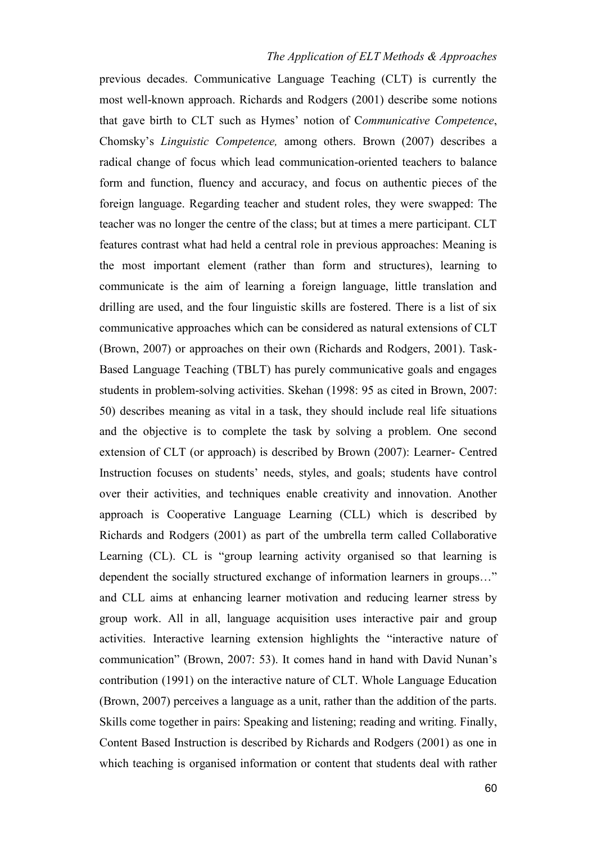previous decades. Communicative Language Teaching (CLT) is currently the most well-known approach. Richards and Rodgers (2001) describe some notions that gave birth to CLT such as Hymes' notion of C*ommunicative Competence*, Chomsky's *Linguistic Competence,* among others. Brown (2007) describes a radical change of focus which lead communication-oriented teachers to balance form and function, fluency and accuracy, and focus on authentic pieces of the foreign language. Regarding teacher and student roles, they were swapped: The teacher was no longer the centre of the class; but at times a mere participant. CLT features contrast what had held a central role in previous approaches: Meaning is the most important element (rather than form and structures), learning to communicate is the aim of learning a foreign language, little translation and drilling are used, and the four linguistic skills are fostered. There is a list of six communicative approaches which can be considered as natural extensions of CLT (Brown, 2007) or approaches on their own (Richards and Rodgers, 2001). Task-Based Language Teaching (TBLT) has purely communicative goals and engages students in problem-solving activities. Skehan (1998: 95 as cited in Brown, 2007: 50) describes meaning as vital in a task, they should include real life situations and the objective is to complete the task by solving a problem. One second extension of CLT (or approach) is described by Brown (2007): Learner- Centred Instruction focuses on students' needs, styles, and goals; students have control over their activities, and techniques enable creativity and innovation. Another approach is Cooperative Language Learning (CLL) which is described by Richards and Rodgers (2001) as part of the umbrella term called Collaborative Learning (CL). CL is "group learning activity organised so that learning is dependent the socially structured exchange of information learners in groups…" and CLL aims at enhancing learner motivation and reducing learner stress by group work. All in all, language acquisition uses interactive pair and group activities. Interactive learning extension highlights the "interactive nature of communication" (Brown, 2007: 53). It comes hand in hand with David Nunan's contribution (1991) on the interactive nature of CLT. Whole Language Education (Brown, 2007) perceives a language as a unit, rather than the addition of the parts. Skills come together in pairs: Speaking and listening; reading and writing. Finally, Content Based Instruction is described by Richards and Rodgers (2001) as one in which teaching is organised information or content that students deal with rather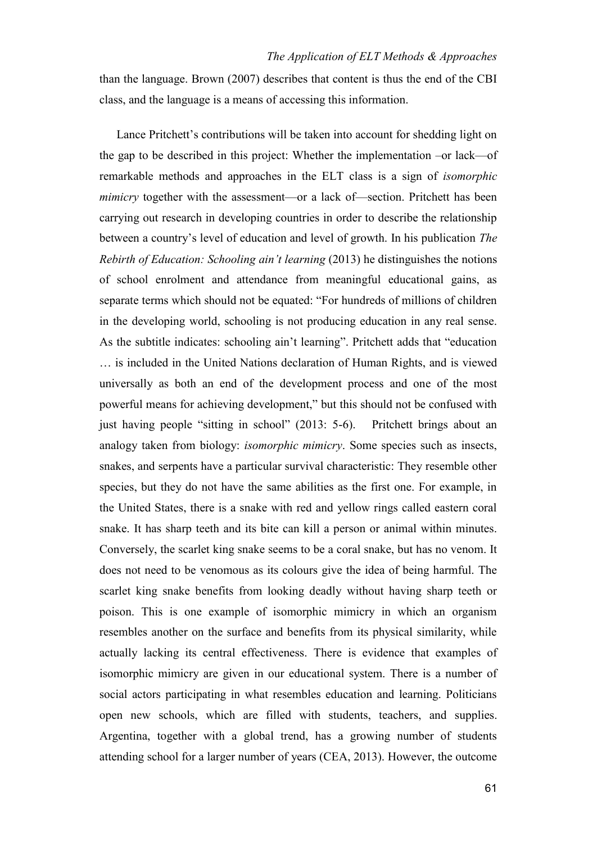than the language. Brown (2007) describes that content is thus the end of the CBI class, and the language is a means of accessing this information.

Lance Pritchett's contributions will be taken into account for shedding light on the gap to be described in this project: Whether the implementation –or lack—of remarkable methods and approaches in the ELT class is a sign of *isomorphic mimicry* together with the assessment—or a lack of—section. Pritchett has been carrying out research in developing countries in order to describe the relationship between a country's level of education and level of growth. In his publication *The Rebirth of Education: Schooling ain't learning* (2013) he distinguishes the notions of school enrolment and attendance from meaningful educational gains, as separate terms which should not be equated: "For hundreds of millions of children in the developing world, schooling is not producing education in any real sense. As the subtitle indicates: schooling ain't learning". Pritchett adds that "education … is included in the United Nations declaration of Human Rights, and is viewed universally as both an end of the development process and one of the most powerful means for achieving development," but this should not be confused with just having people "sitting in school" (2013: 5-6). Pritchett brings about an analogy taken from biology: *isomorphic mimicry*. Some species such as insects, snakes, and serpents have a particular survival characteristic: They resemble other species, but they do not have the same abilities as the first one. For example, in the United States, there is a snake with red and yellow rings called eastern coral snake. It has sharp teeth and its bite can kill a person or animal within minutes. Conversely, the scarlet king snake seems to be a coral snake, but has no venom. It does not need to be venomous as its colours give the idea of being harmful. The scarlet king snake benefits from looking deadly without having sharp teeth or poison. This is one example of isomorphic mimicry in which an organism resembles another on the surface and benefits from its physical similarity, while actually lacking its central effectiveness. There is evidence that examples of isomorphic mimicry are given in our educational system. There is a number of social actors participating in what resembles education and learning. Politicians open new schools, which are filled with students, teachers, and supplies. Argentina, together with a global trend, has a growing number of students attending school for a larger number of years (CEA, 2013). However, the outcome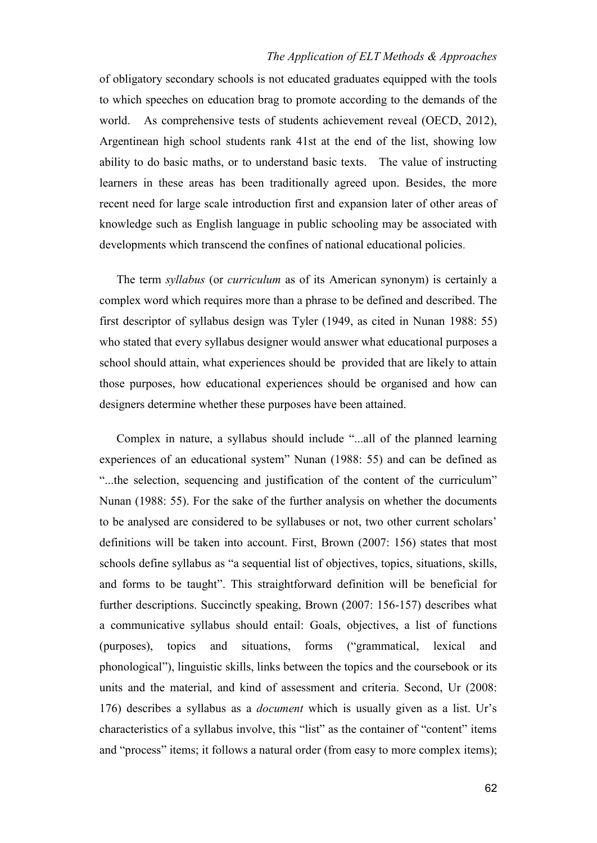of obligatory secondary schools is not educated graduates equipped with the tools to which speeches on education brag to promote according to the demands of the world. As comprehensive tests of students achievement reveal (OECD, 2012), Argentinean high school students rank 41st at the end of the list, showing low ability to do basic maths, or to understand basic texts. The value of instructing learners in these areas has been traditionally agreed upon. Besides, the more recent need for large scale introduction first and expansion later of other areas of knowledge such as English language in public schooling may be associated with developments which transcend the confines of national educational policies.

The term *syllabus* (or *curriculum* as of its American synonym) is certainly a complex word which requires more than a phrase to be defined and described. The first descriptor of syllabus design was Tyler (1949, as cited in Nunan 1988: 55) who stated that every syllabus designer would answer what educational purposes a school should attain, what experiences should be provided that are likely to attain those purposes, how educational experiences should be organised and how can designers determine whether these purposes have been attained.

Complex in nature, a syllabus should include "...all of the planned learning experiences of an educational system" Nunan (1988: 55) and can be defined as "...the selection, sequencing and justification of the content of the curriculum" Nunan (1988: 55). For the sake of the further analysis on whether the documents to be analysed are considered to be syllabuses or not, two other current scholars' definitions will be taken into account. First, Brown (2007: 156) states that most schools define syllabus as "a sequential list of objectives, topics, situations, skills, and forms to be taught". This straightforward definition will be beneficial for further descriptions. Succinctly speaking, Brown (2007: 156-157) describes what a communicative syllabus should entail: Goals, objectives, a list of functions (purposes), topics and situations, forms ("grammatical, lexical and phonological"), linguistic skills, links between the topics and the coursebook or its units and the material, and kind of assessment and criteria. Second, Ur (2008: 176) describes a syllabus as a *document* which is usually given as a list. Ur's characteristics of a syllabus involve, this "list" as the container of "content" items and "process" items; it follows a natural order (from easy to more complex items);

62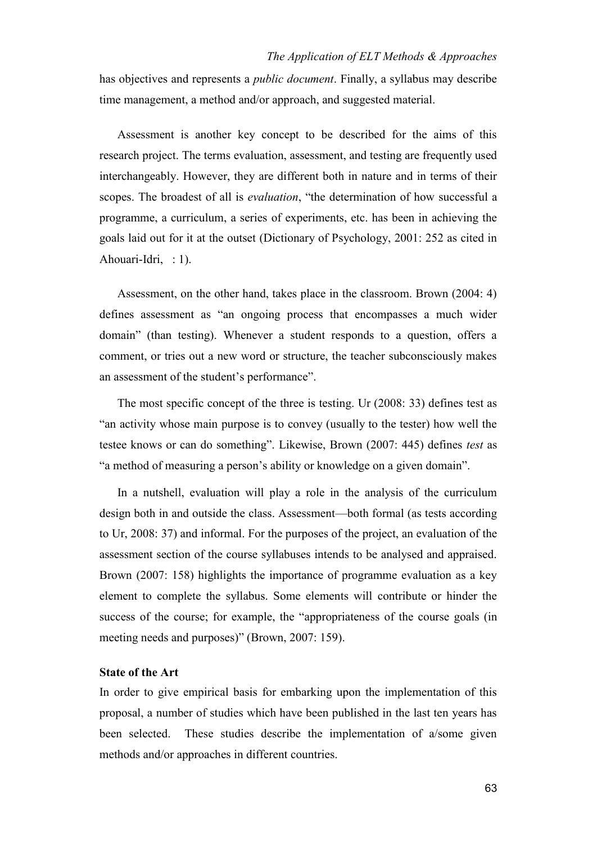has objectives and represents a *public document*. Finally, a syllabus may describe time management, a method and/or approach, and suggested material.

Assessment is another key concept to be described for the aims of this research project. The terms evaluation, assessment, and testing are frequently used interchangeably. However, they are different both in nature and in terms of their scopes. The broadest of all is *evaluation*, "the determination of how successful a programme, a curriculum, a series of experiments, etc. has been in achieving the goals laid out for it at the outset (Dictionary of Psychology, 2001: 252 as cited in Ahouari-Idri, : 1).

Assessment, on the other hand, takes place in the classroom. Brown (2004: 4) defines assessment as "an ongoing process that encompasses a much wider domain" (than testing). Whenever a student responds to a question, offers a comment, or tries out a new word or structure, the teacher subconsciously makes an assessment of the student's performance".

The most specific concept of the three is testing. Ur (2008: 33) defines test as "an activity whose main purpose is to convey (usually to the tester) how well the testee knows or can do something". Likewise, Brown (2007: 445) defines *test* as "a method of measuring a person's ability or knowledge on a given domain".

In a nutshell, evaluation will play a role in the analysis of the curriculum design both in and outside the class. Assessment—both formal (as tests according to Ur, 2008: 37) and informal. For the purposes of the project, an evaluation of the assessment section of the course syllabuses intends to be analysed and appraised. Brown (2007: 158) highlights the importance of programme evaluation as a key element to complete the syllabus. Some elements will contribute or hinder the success of the course; for example, the "appropriateness of the course goals (in meeting needs and purposes)" (Brown, 2007: 159).

## **State of the Art**

In order to give empirical basis for embarking upon the implementation of this proposal, a number of studies which have been published in the last ten years has been selected. These studies describe the implementation of a/some given methods and/or approaches in different countries.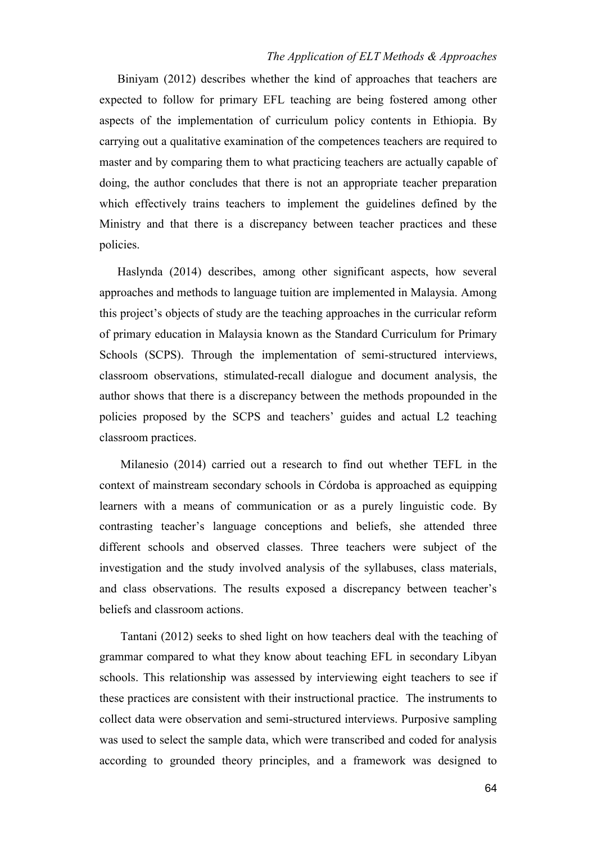Biniyam (2012) describes whether the kind of approaches that teachers are expected to follow for primary EFL teaching are being fostered among other aspects of the implementation of curriculum policy contents in Ethiopia. By carrying out a qualitative examination of the competences teachers are required to master and by comparing them to what practicing teachers are actually capable of doing, the author concludes that there is not an appropriate teacher preparation which effectively trains teachers to implement the guidelines defined by the Ministry and that there is a discrepancy between teacher practices and these policies.

Haslynda (2014) describes, among other significant aspects, how several approaches and methods to language tuition are implemented in Malaysia. Among this project's objects of study are the teaching approaches in the curricular reform of primary education in Malaysia known as the Standard Curriculum for Primary Schools (SCPS). Through the implementation of semi-structured interviews, classroom observations, stimulated-recall dialogue and document analysis, the author shows that there is a discrepancy between the methods propounded in the policies proposed by the SCPS and teachers' guides and actual L2 teaching classroom practices.

Milanesio (2014) carried out a research to find out whether TEFL in the context of mainstream secondary schools in Córdoba is approached as equipping learners with a means of communication or as a purely linguistic code. By contrasting teacher's language conceptions and beliefs, she attended three different schools and observed classes. Three teachers were subject of the investigation and the study involved analysis of the syllabuses, class materials, and class observations. The results exposed a discrepancy between teacher's beliefs and classroom actions.

Tantani (2012) seeks to shed light on how teachers deal with the teaching of grammar compared to what they know about teaching EFL in secondary Libyan schools. This relationship was assessed by interviewing eight teachers to see if these practices are consistent with their instructional practice. The instruments to collect data were observation and semi-structured interviews. Purposive sampling was used to select the sample data, which were transcribed and coded for analysis according to grounded theory principles, and a framework was designed to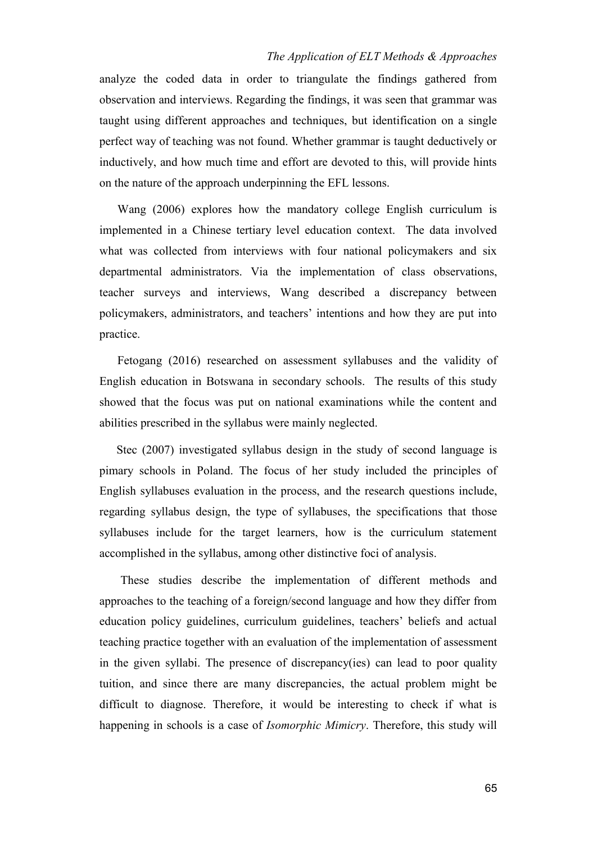analyze the coded data in order to triangulate the findings gathered from observation and interviews. Regarding the findings, it was seen that grammar was taught using different approaches and techniques, but identification on a single perfect way of teaching was not found. Whether grammar is taught deductively or inductively, and how much time and effort are devoted to this, will provide hints on the nature of the approach underpinning the EFL lessons.

Wang (2006) explores how the mandatory college English curriculum is implemented in a Chinese tertiary level education context. The data involved what was collected from interviews with four national policymakers and six departmental administrators. Via the implementation of class observations, teacher surveys and interviews, Wang described a discrepancy between policymakers, administrators, and teachers' intentions and how they are put into practice.

Fetogang (2016) researched on assessment syllabuses and the validity of English education in Botswana in secondary schools. The results of this study showed that the focus was put on national examinations while the content and abilities prescribed in the syllabus were mainly neglected.

Stec (2007) investigated syllabus design in the study of second language is pimary schools in Poland. The focus of her study included the principles of English syllabuses evaluation in the process, and the research questions include, regarding syllabus design, the type of syllabuses, the specifications that those syllabuses include for the target learners, how is the curriculum statement accomplished in the syllabus, among other distinctive foci of analysis.

These studies describe the implementation of different methods and approaches to the teaching of a foreign/second language and how they differ from education policy guidelines, curriculum guidelines, teachers' beliefs and actual teaching practice together with an evaluation of the implementation of assessment in the given syllabi. The presence of discrepancy(ies) can lead to poor quality tuition, and since there are many discrepancies, the actual problem might be difficult to diagnose. Therefore, it would be interesting to check if what is happening in schools is a case of *Isomorphic Mimicry*. Therefore, this study will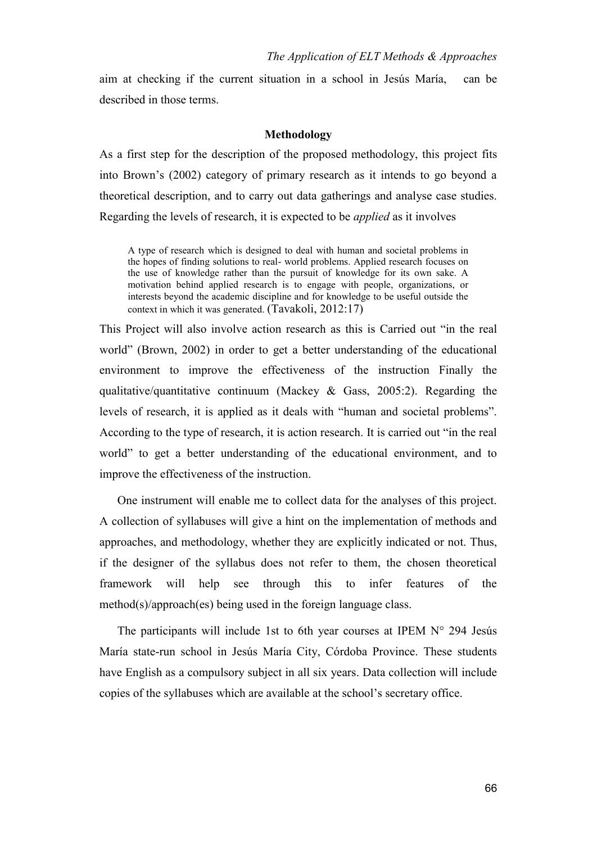aim at checking if the current situation in a school in Jesús María, can be described in those terms.

#### **Methodology**

As a first step for the description of the proposed methodology, this project fits into Brown's (2002) category of primary research as it intends to go beyond a theoretical description, and to carry out data gatherings and analyse case studies. Regarding the levels of research, it is expected to be *applied* as it involves

A type of research which is designed to deal with human and societal problems in the hopes of finding solutions to real- world problems. Applied research focuses on the use of knowledge rather than the pursuit of knowledge for its own sake. A motivation behind applied research is to engage with people, organizations, or interests beyond the academic discipline and for knowledge to be useful outside the context in which it was generated. (Tavakoli, 2012:17)

This Project will also involve action research as this is Carried out "in the real world" (Brown, 2002) in order to get a better understanding of the educational environment to improve the effectiveness of the instruction Finally the qualitative/quantitative continuum (Mackey & Gass, 2005:2). Regarding the levels of research, it is applied as it deals with "human and societal problems". According to the type of research, it is action research. It is carried out "in the real world" to get a better understanding of the educational environment, and to improve the effectiveness of the instruction.

One instrument will enable me to collect data for the analyses of this project. A collection of syllabuses will give a hint on the implementation of methods and approaches, and methodology, whether they are explicitly indicated or not. Thus, if the designer of the syllabus does not refer to them, the chosen theoretical framework will help see through this to infer features of the method(s)/approach(es) being used in the foreign language class.

The participants will include 1st to 6th year courses at IPEM  $N^{\circ}$  294 Jesús María state-run school in Jesús María City, Córdoba Province. These students have English as a compulsory subject in all six years. Data collection will include copies of the syllabuses which are available at the school's secretary office.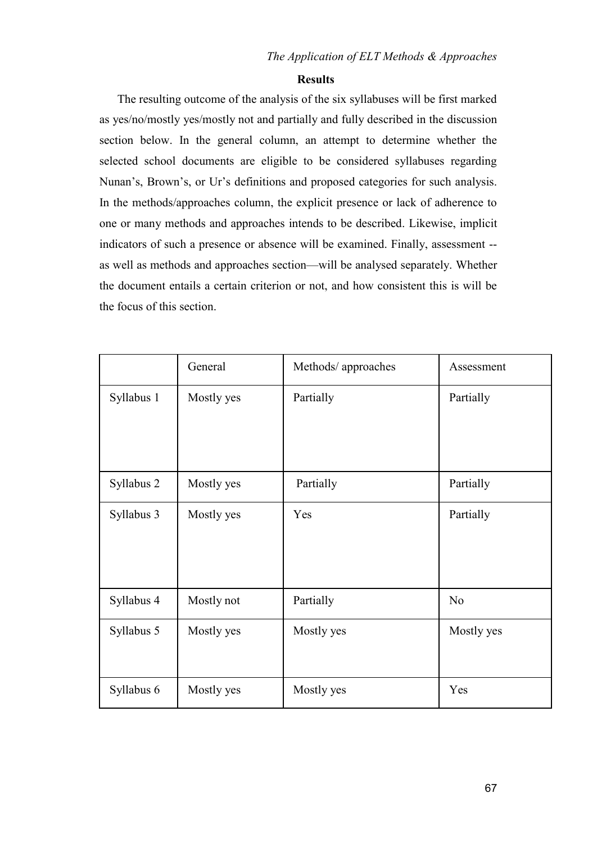#### **Results**

The resulting outcome of the analysis of the six syllabuses will be first marked as yes/no/mostly yes/mostly not and partially and fully described in the discussion section below. In the general column, an attempt to determine whether the selected school documents are eligible to be considered syllabuses regarding Nunan's, Brown's, or Ur's definitions and proposed categories for such analysis. In the methods/approaches column, the explicit presence or lack of adherence to one or many methods and approaches intends to be described. Likewise, implicit indicators of such a presence or absence will be examined. Finally, assessment - as well as methods and approaches section—will be analysed separately. Whether the document entails a certain criterion or not, and how consistent this is will be the focus of this section.

|            | General    | Methods/ approaches | Assessment     |
|------------|------------|---------------------|----------------|
| Syllabus 1 | Mostly yes | Partially           | Partially      |
| Syllabus 2 | Mostly yes | Partially           | Partially      |
| Syllabus 3 | Mostly yes | Yes                 | Partially      |
| Syllabus 4 | Mostly not | Partially           | N <sub>o</sub> |
| Syllabus 5 | Mostly yes | Mostly yes          | Mostly yes     |
| Syllabus 6 | Mostly yes | Mostly yes          | Yes            |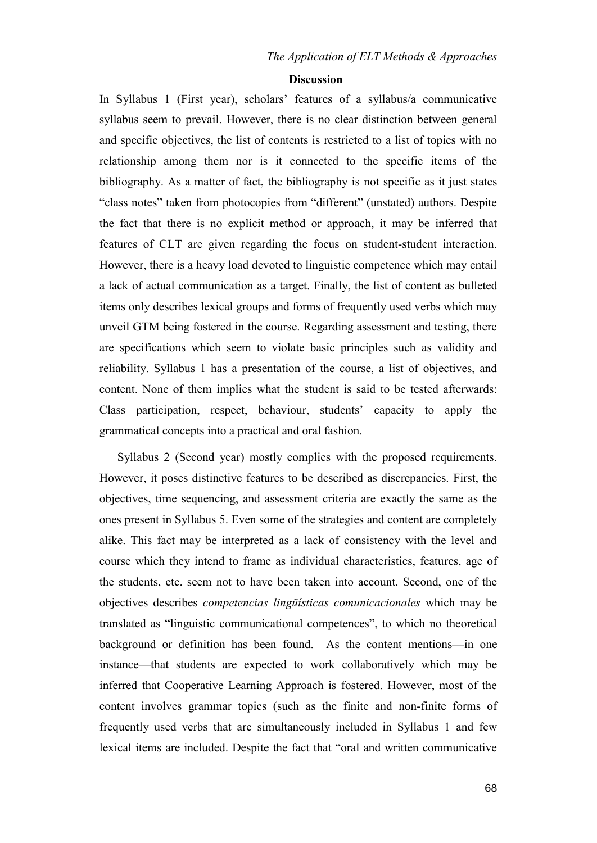#### **Discussion**

In Syllabus 1 (First year), scholars' features of a syllabus/a communicative syllabus seem to prevail. However, there is no clear distinction between general and specific objectives, the list of contents is restricted to a list of topics with no relationship among them nor is it connected to the specific items of the bibliography. As a matter of fact, the bibliography is not specific as it just states "class notes" taken from photocopies from "different" (unstated) authors. Despite the fact that there is no explicit method or approach, it may be inferred that features of CLT are given regarding the focus on student-student interaction. However, there is a heavy load devoted to linguistic competence which may entail a lack of actual communication as a target. Finally, the list of content as bulleted items only describes lexical groups and forms of frequently used verbs which may unveil GTM being fostered in the course. Regarding assessment and testing, there are specifications which seem to violate basic principles such as validity and reliability. Syllabus 1 has a presentation of the course, a list of objectives, and content. None of them implies what the student is said to be tested afterwards: Class participation, respect, behaviour, students' capacity to apply the grammatical concepts into a practical and oral fashion.

Syllabus 2 (Second year) mostly complies with the proposed requirements. However, it poses distinctive features to be described as discrepancies. First, the objectives, time sequencing, and assessment criteria are exactly the same as the ones present in Syllabus 5. Even some of the strategies and content are completely alike. This fact may be interpreted as a lack of consistency with the level and course which they intend to frame as individual characteristics, features, age of the students, etc. seem not to have been taken into account. Second, one of the objectives describes *competencias lingüísticas comunicacionales* which may be translated as "linguistic communicational competences", to which no theoretical background or definition has been found. As the content mentions—in one instance—that students are expected to work collaboratively which may be inferred that Cooperative Learning Approach is fostered. However, most of the content involves grammar topics (such as the finite and non-finite forms of frequently used verbs that are simultaneously included in Syllabus 1 and few lexical items are included. Despite the fact that "oral and written communicative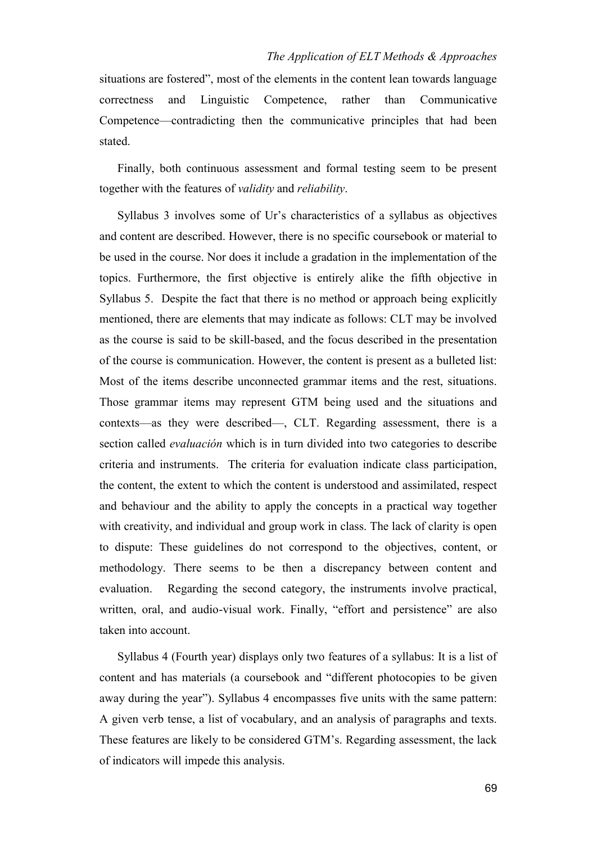situations are fostered", most of the elements in the content lean towards language correctness and Linguistic Competence, rather than Communicative Competence—contradicting then the communicative principles that had been stated.

Finally, both continuous assessment and formal testing seem to be present together with the features of *validity* and *reliability*.

Syllabus 3 involves some of Ur's characteristics of a syllabus as objectives and content are described. However, there is no specific coursebook or material to be used in the course. Nor does it include a gradation in the implementation of the topics. Furthermore, the first objective is entirely alike the fifth objective in Syllabus 5. Despite the fact that there is no method or approach being explicitly mentioned, there are elements that may indicate as follows: CLT may be involved as the course is said to be skill-based, and the focus described in the presentation of the course is communication. However, the content is present as a bulleted list: Most of the items describe unconnected grammar items and the rest, situations. Those grammar items may represent GTM being used and the situations and contexts—as they were described—, CLT. Regarding assessment, there is a section called *evaluación* which is in turn divided into two categories to describe criteria and instruments. The criteria for evaluation indicate class participation, the content, the extent to which the content is understood and assimilated, respect and behaviour and the ability to apply the concepts in a practical way together with creativity, and individual and group work in class. The lack of clarity is open to dispute: These guidelines do not correspond to the objectives, content, or methodology. There seems to be then a discrepancy between content and evaluation. Regarding the second category, the instruments involve practical, written, oral, and audio-visual work. Finally, "effort and persistence" are also taken into account.

Syllabus 4 (Fourth year) displays only two features of a syllabus: It is a list of content and has materials (a coursebook and "different photocopies to be given away during the year"). Syllabus 4 encompasses five units with the same pattern: A given verb tense, a list of vocabulary, and an analysis of paragraphs and texts. These features are likely to be considered GTM's. Regarding assessment, the lack of indicators will impede this analysis.

69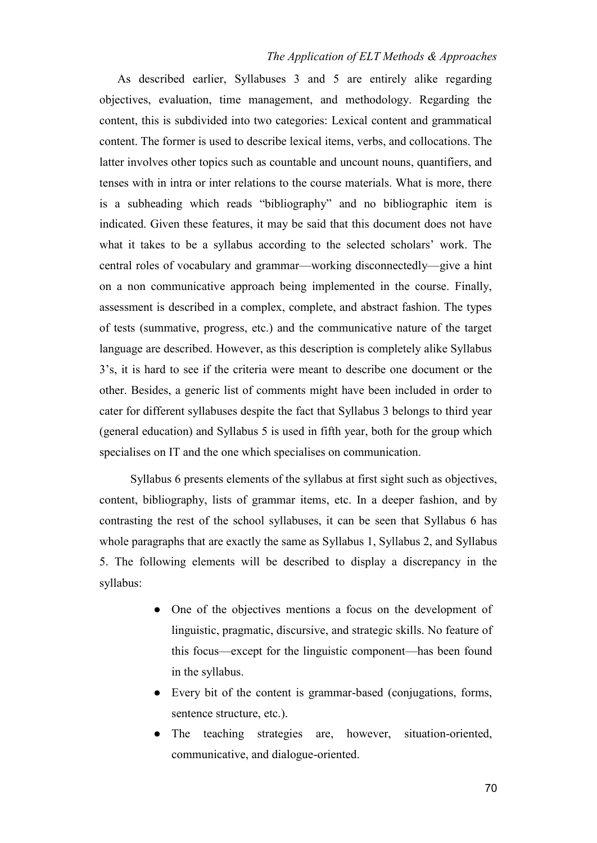As described earlier, Syllabuses 3 and 5 are entirely alike regarding objectives, evaluation, time management, and methodology. Regarding the content, this is subdivided into two categories: Lexical content and grammatical content. The former is used to describe lexical items, verbs, and collocations. The latter involves other topics such as countable and uncount nouns, quantifiers, and tenses with in intra or inter relations to the course materials. What is more, there is a subheading which reads "bibliography" and no bibliographic item is indicated. Given these features, it may be said that this document does not have what it takes to be a syllabus according to the selected scholars' work. The central roles of vocabulary and grammar—working disconnectedly—give a hint on a non communicative approach being implemented in the course. Finally, assessment is described in a complex, complete, and abstract fashion. The types of tests (summative, progress, etc.) and the communicative nature of the target language are described. However, as this description is completely alike Syllabus 3's, it is hard to see if the criteria were meant to describe one document or the other. Besides, a generic list of comments might have been included in order to cater for different syllabuses despite the fact that Syllabus 3 belongs to third year (general education) and Syllabus 5 is used in fifth year, both for the group which specialises on IT and the one which specialises on communication.

Syllabus 6 presents elements of the syllabus at first sight such as objectives, content, bibliography, lists of grammar items, etc. In a deeper fashion, and by contrasting the rest of the school syllabuses, it can be seen that Syllabus 6 has whole paragraphs that are exactly the same as Syllabus 1, Syllabus 2, and Syllabus 5. The following elements will be described to display a discrepancy in the syllabus:

- One of the objectives mentions a focus on the development of linguistic, pragmatic, discursive, and strategic skills. No feature of this focus—except for the linguistic component—has been found in the syllabus.
- Every bit of the content is grammar-based (conjugations, forms, sentence structure, etc.).
- The teaching strategies are, however, situation-oriented, communicative, and dialogue-oriented.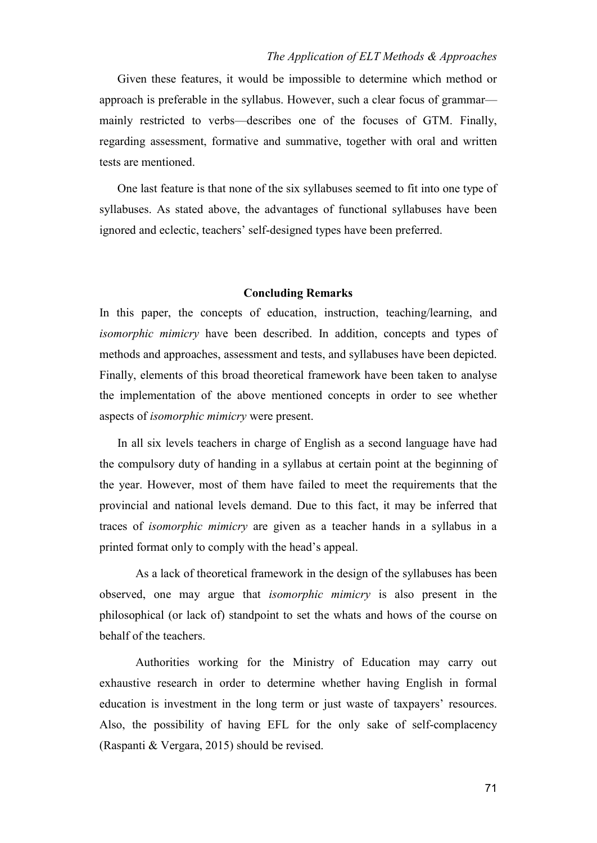Given these features, it would be impossible to determine which method or approach is preferable in the syllabus. However, such a clear focus of grammar mainly restricted to verbs—describes one of the focuses of GTM. Finally, regarding assessment, formative and summative, together with oral and written tests are mentioned.

One last feature is that none of the six syllabuses seemed to fit into one type of syllabuses. As stated above, the advantages of functional syllabuses have been ignored and eclectic, teachers' self-designed types have been preferred.

## **Concluding Remarks**

In this paper, the concepts of education, instruction, teaching/learning, and *isomorphic mimicry* have been described. In addition, concepts and types of methods and approaches, assessment and tests, and syllabuses have been depicted. Finally, elements of this broad theoretical framework have been taken to analyse the implementation of the above mentioned concepts in order to see whether aspects of *isomorphic mimicry* were present.

In all six levels teachers in charge of English as a second language have had the compulsory duty of handing in a syllabus at certain point at the beginning of the year. However, most of them have failed to meet the requirements that the provincial and national levels demand. Due to this fact, it may be inferred that traces of *isomorphic mimicry* are given as a teacher hands in a syllabus in a printed format only to comply with the head's appeal.

As a lack of theoretical framework in the design of the syllabuses has been observed, one may argue that *isomorphic mimicry* is also present in the philosophical (or lack of) standpoint to set the whats and hows of the course on behalf of the teachers.

Authorities working for the Ministry of Education may carry out exhaustive research in order to determine whether having English in formal education is investment in the long term or just waste of taxpayers' resources. Also, the possibility of having EFL for the only sake of self-complacency (Raspanti & Vergara, 2015) should be revised.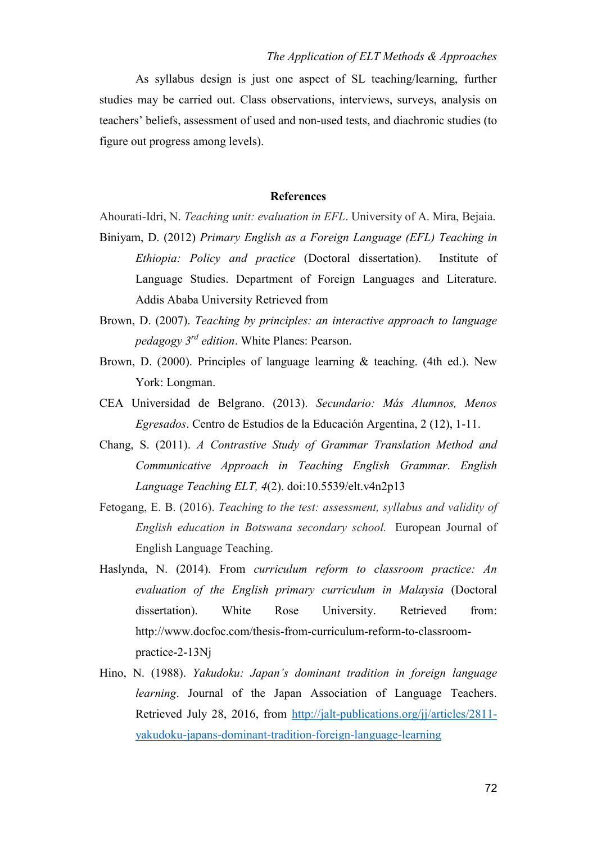As syllabus design is just one aspect of SL teaching/learning, further studies may be carried out. Class observations, interviews, surveys, analysis on teachers' beliefs, assessment of used and non-used tests, and diachronic studies (to figure out progress among levels).

## **References**

Ahourati-Idri, N. *Teaching unit: evaluation in EFL*. University of A. Mira, Bejaia.

- Biniyam, D. (2012) *Primary English as a Foreign Language (EFL) Teaching in Ethiopia: Policy and practice* (Doctoral dissertation). Institute of Language Studies. Department of Foreign Languages and Literature. Addis Ababa University Retrieved from
- Brown, D. (2007). *Teaching by principles: an interactive approach to language pedagogy 3rd edition*. White Planes: Pearson.
- Brown, D. (2000). Principles of language learning & teaching. (4th ed.). New York: Longman.
- CEA Universidad de Belgrano. (2013). *Secundario: Más Alumnos, Menos Egresados*. Centro de Estudios de la Educación Argentina, 2 (12), 1-11.
- Chang, S. (2011). *A Contrastive Study of Grammar Translation Method and Communicative Approach in Teaching English Grammar*. *English Language Teaching ELT, 4*(2). doi:10.5539/elt.v4n2p13
- Fetogang, E. B. (2016). *Teaching to the test: assessment, syllabus and validity of English education in Botswana secondary school.* European Journal of English Language Teaching.
- Haslynda, N. (2014). From *curriculum reform to classroom practice: An evaluation of the English primary curriculum in Malaysia* (Doctoral dissertation). White Rose University. Retrieved from: http://www.docfoc.com/thesis-from-curriculum-reform-to-classroompractice-2-13Nj
- Hino, N. (1988). *Yakudoku: Japan's dominant tradition in foreign language learning*. Journal of the Japan Association of Language Teachers. Retrieved July 28, 2016, fro[m](http://jalt-publications.org/jj/articles/2811-yakudoku-japans-dominant-tradition-foreign-language-learning) [http://jalt-publications.org/jj/articles/2811](http://jalt-publications.org/jj/articles/2811-yakudoku-japans-dominant-tradition-foreign-language-learning) yakudoku-japans-dominant-tradition-foreign-language-learning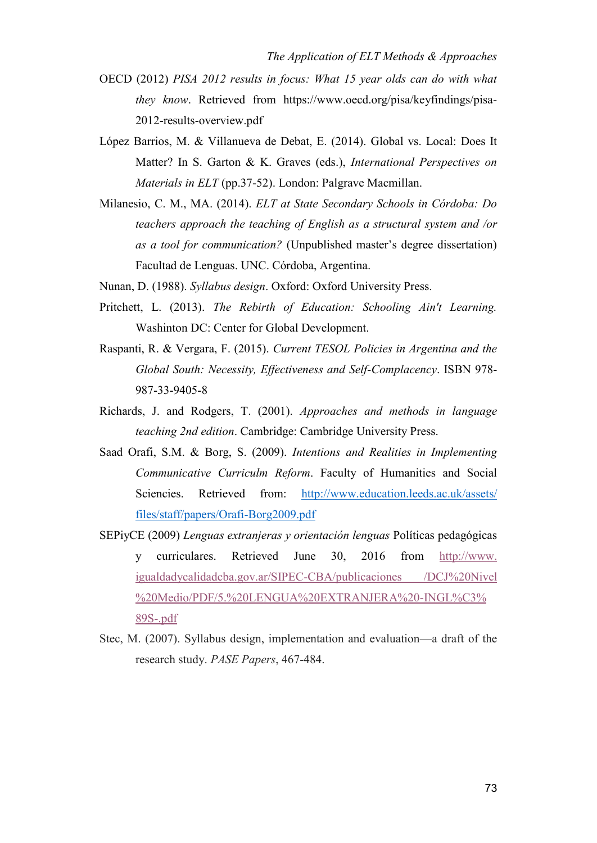- OECD (2012) *PISA 2012 results in focus: What 15 year olds can do with what they know*. Retrieved from https://www.oecd.org/pisa/keyfindings/pisa-2012-results-overview.pdf
- López Barrios, M. & Villanueva de Debat, E. (2014). Global vs. Local: Does It Matter? In S. Garton & K. Graves (eds.), *International Perspectives on Materials in ELT* (pp.37-52). London: Palgrave Macmillan.
- Milanesio, C. M., MA. (2014). *ELT at State Secondary Schools in Córdoba: Do teachers approach the teaching of English as a structural system and /or as a tool for communication?* (Unpublished master's degree dissertation) Facultad de Lenguas. UNC. Córdoba, Argentina.
- Nunan, D. (1988). *Syllabus design*. Oxford: Oxford University Press.
- Pritchett, L. (2013). *The Rebirth of Education: Schooling Ain't Learning.* Washinton DC: Center for Global Development.
- Raspanti, R. & Vergara, F. (2015). *Current TESOL Policies in Argentina and the Global South: Necessity, Effectiveness and Self-Complacency*. ISBN 978- 987-33-9405-8
- Richards, J. and Rodgers, T. (2001). *Approaches and methods in language teaching 2nd edition*. Cambridge: Cambridge University Press.
- Saad Orafi, S.M. & Borg, S. (2009). *Intentions and Realities in Implementing Communicative Curriculm Reform*. Faculty of Humanities and Social Sciencies. Retrieved from: [http://www.education.leeds.ac.uk/assets/](http://www.education.leeds.ac.uk/assets/files/staff/papers/Orafi-Borg-2009.pdf) [files/staff/papers/Orafi-Borg2009.pdf](http://www.education.leeds.ac.uk/assets/files/staff/papers/Orafi-Borg-2009.pdf)
- SEPiyCE (2009) *Lenguas extranjeras y orientación lenguas* Políticas pedagógicas y curriculares. Retrieved June 30, 2016 from [http://www.](http://www.igualdadycalidadcba.gov.ar/SIPEC-CBA/publicaciones/DCJ%20Nivel%20Medio/PDF/5.%20LENGUA%20EXTRANJERA%20-INGL%C3%89S-.pdf) [igualdadycalidadcba.gov.ar/SIPEC-CBA/publicaciones](http://www.igualdadycalidadcba.gov.ar/SIPEC-CBA/publicaciones/DCJ%20Nivel%20Medio/PDF/5.%20LENGUA%20EXTRANJERA%20-INGL%C3%89S-.pdf) /DCJ%20Nivel [%20Medio/PDF/5.%20LENGUA%20EXTRANJERA%20-INGL%C3%](http://www.igualdadycalidadcba.gov.ar/SIPEC-CBA/publicaciones/DCJ%20Nivel%20Medio/PDF/5.%20LENGUA%20EXTRANJERA%20-INGL%C3%89S-.pdf) [89S-.pdf](http://www.igualdadycalidadcba.gov.ar/SIPEC-CBA/publicaciones/DCJ%20Nivel%20Medio/PDF/5.%20LENGUA%20EXTRANJERA%20-INGL%C3%89S-.pdf)
- Stec, M. (2007). Syllabus design, implementation and evaluation—a draft of the research study. *PASE Papers*, 467-484.